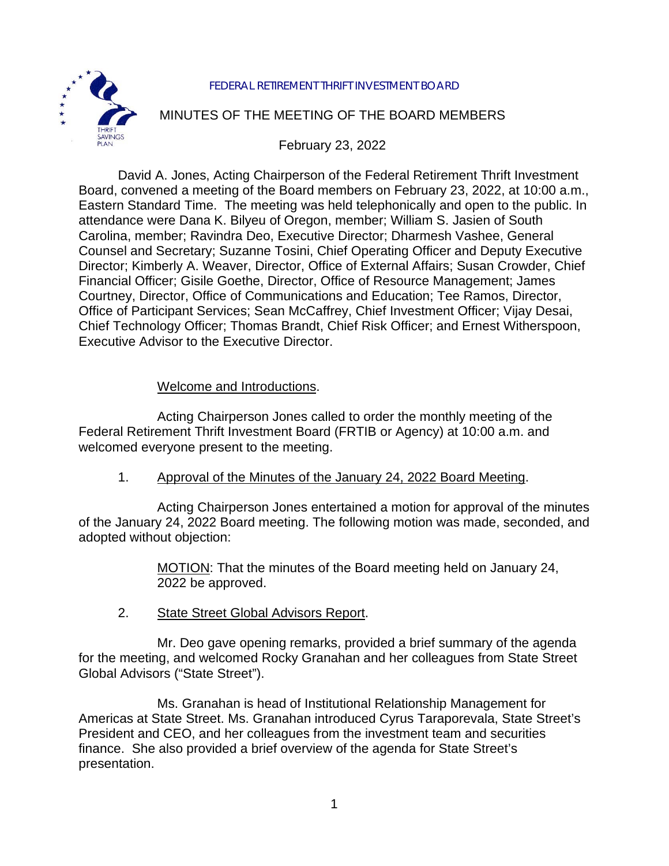

#### FEDERAL RETIREMENT THRIFT INVESTMENT BOARD

# MINUTES OF THE MEETING OF THE BOARD MEMBERS

February 23, 2022

David A. Jones, Acting Chairperson of the Federal Retirement Thrift Investment Board, convened a meeting of the Board members on February 23, 2022, at 10:00 a.m., Eastern Standard Time. The meeting was held telephonically and open to the public. In attendance were Dana K. Bilyeu of Oregon, member; William S. Jasien of South Carolina, member; Ravindra Deo, Executive Director; Dharmesh Vashee, General Counsel and Secretary; Suzanne Tosini, Chief Operating Officer and Deputy Executive Director; Kimberly A. Weaver, Director, Office of External Affairs; Susan Crowder, Chief Financial Officer; Gisile Goethe, Director, Office of Resource Management; James Courtney, Director, Office of Communications and Education; Tee Ramos, Director, Office of Participant Services; Sean McCaffrey, Chief Investment Officer; Vijay Desai, Chief Technology Officer; Thomas Brandt, Chief Risk Officer; and Ernest Witherspoon, Executive Advisor to the Executive Director.

## Welcome and Introductions.

Acting Chairperson Jones called to order the monthly meeting of the Federal Retirement Thrift Investment Board (FRTIB or Agency) at 10:00 a.m. and welcomed everyone present to the meeting.

1. Approval of the Minutes of the January 24, 2022 Board Meeting.

Acting Chairperson Jones entertained a motion for approval of the minutes of the January 24, 2022 Board meeting. The following motion was made, seconded, and adopted without objection:

> MOTION: That the minutes of the Board meeting held on January 24, 2022 be approved.

2. State Street Global Advisors Report.

Mr. Deo gave opening remarks, provided a brief summary of the agenda for the meeting, and welcomed Rocky Granahan and her colleagues from State Street Global Advisors ("State Street").

Ms. Granahan is head of Institutional Relationship Management for Americas at State Street. Ms. Granahan introduced Cyrus Taraporevala, State Street's President and CEO, and her colleagues from the investment team and securities finance. She also provided a brief overview of the agenda for State Street's presentation.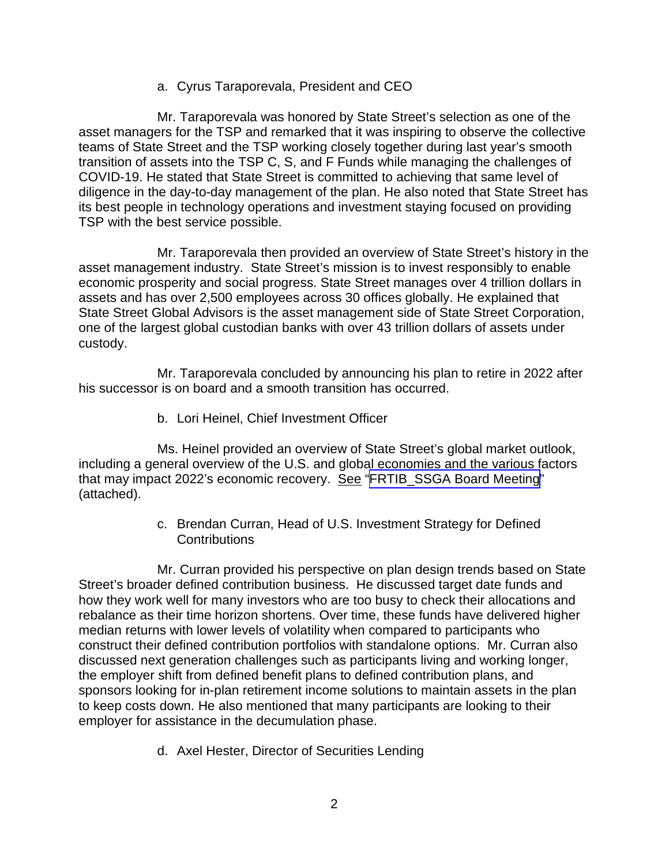a. Cyrus Taraporevala, President and CEO

Mr. Taraporevala was honored by State Street's selection as one of the asset managers for the TSP and remarked that it was inspiring to observe the collective teams of State Street and the TSP working closely together during last year's smooth transition of assets into the TSP C, S, and F Funds while managing the challenges of COVID-19. He stated that State Street is committed to achieving that same level of diligence in the day-to-day management of the plan. He also noted that State Street has its best people in technology operations and investment staying focused on providing TSP with the best service possible.

Mr. Taraporevala then provided an overview of State Street's history in the asset management industry. State Street's mission is to invest responsibly to enable economic prosperity and social progress. State Street manages over 4 trillion dollars in assets and has over 2,500 employees across 30 offices globally. He explained that State Street Global Advisors is the asset management side of State Street Corporation, one of the largest global custodian banks with over 43 trillion dollars of assets under custody.

Mr. Taraporevala concluded by announcing his plan to retire in 2022 after his successor is on board and a smooth transition has occurred.

b. Lori Heinel, Chief Investment Officer

Ms. Heinel provided an overview of State Street's global market outlook, including a general overview of the U.S. and global economies and the various factors that may impact 2022's economic recovery. See ["FRTIB\\_SSGA Board Meeting](https://www.frtib.gov/pdf/minutes/2022/Feb/MM-2022Feb-Att1.pdf)" (attached).

> c. Brendan Curran, Head of U.S. Investment Strategy for Defined **Contributions**

Mr. Curran provided his perspective on plan design trends based on State Street's broader defined contribution business. He discussed target date funds and how they work well for many investors who are too busy to check their allocations and rebalance as their time horizon shortens. Over time, these funds have delivered higher median returns with lower levels of volatility when compared to participants who construct their defined contribution portfolios with standalone options. Mr. Curran also discussed next generation challenges such as participants living and working longer, the employer shift from defined benefit plans to defined contribution plans, and sponsors looking for in-plan retirement income solutions to maintain assets in the plan to keep costs down. He also mentioned that many participants are looking to their employer for assistance in the decumulation phase.

d. Axel Hester, Director of Securities Lending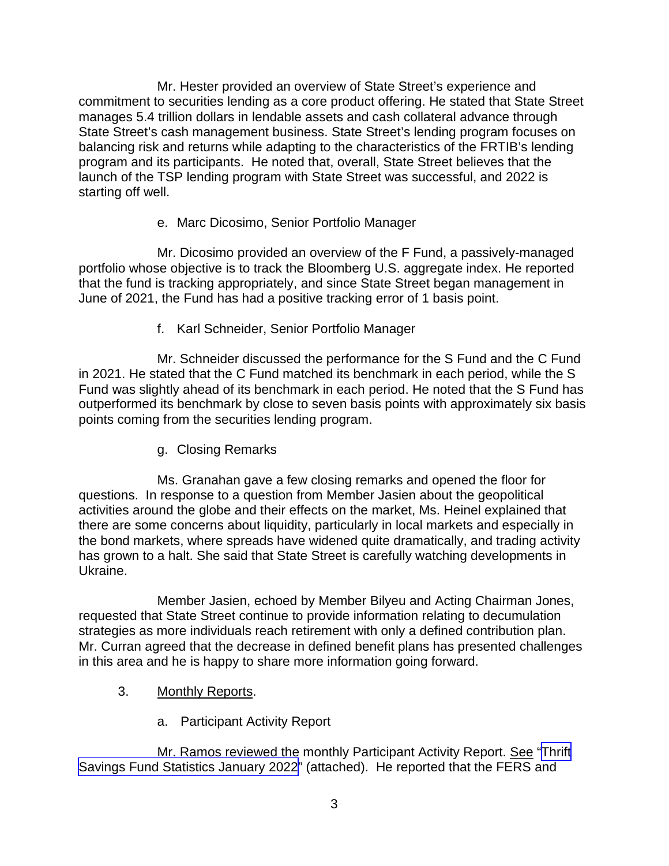Mr. Hester provided an overview of State Street's experience and commitment to securities lending as a core product offering. He stated that State Street manages 5.4 trillion dollars in lendable assets and cash collateral advance through State Street's cash management business. State Street's lending program focuses on balancing risk and returns while adapting to the characteristics of the FRTIB's lending program and its participants. He noted that, overall, State Street believes that the launch of the TSP lending program with State Street was successful, and 2022 is starting off well.

### e. Marc Dicosimo, Senior Portfolio Manager

Mr. Dicosimo provided an overview of the F Fund, a passively-managed portfolio whose objective is to track the Bloomberg U.S. aggregate index. He reported that the fund is tracking appropriately, and since State Street began management in June of 2021, the Fund has had a positive tracking error of 1 basis point.

f. Karl Schneider, Senior Portfolio Manager

Mr. Schneider discussed the performance for the S Fund and the C Fund in 2021. He stated that the C Fund matched its benchmark in each period, while the S Fund was slightly ahead of its benchmark in each period. He noted that the S Fund has outperformed its benchmark by close to seven basis points with approximately six basis points coming from the securities lending program.

g. Closing Remarks

Ms. Granahan gave a few closing remarks and opened the floor for questions. In response to a question from Member Jasien about the geopolitical activities around the globe and their effects on the market, Ms. Heinel explained that there are some concerns about liquidity, particularly in local markets and especially in the bond markets, where spreads have widened quite dramatically, and trading activity has grown to a halt. She said that State Street is carefully watching developments in Ukraine.

Member Jasien, echoed by Member Bilyeu and Acting Chairman Jones, requested that State Street continue to provide information relating to decumulation strategies as more individuals reach retirement with only a defined contribution plan. Mr. Curran agreed that the decrease in defined benefit plans has presented challenges in this area and he is happy to share more information going forward.

- 3. Monthly Reports.
	- a. Participant Activity Report

Mr. Ramos reviewed the monthly Participant Activity Report. See "[Thrift](https://www.frtib.gov/pdf/minutes/2022/Feb/MM-2022Feb-Att2.pdf)  [Savings Fund Statistics January](https://www.frtib.gov/pdf/minutes/2022/Feb/MM-2022Feb-Att2.pdf) 2022" (attached). He reported that the FERS and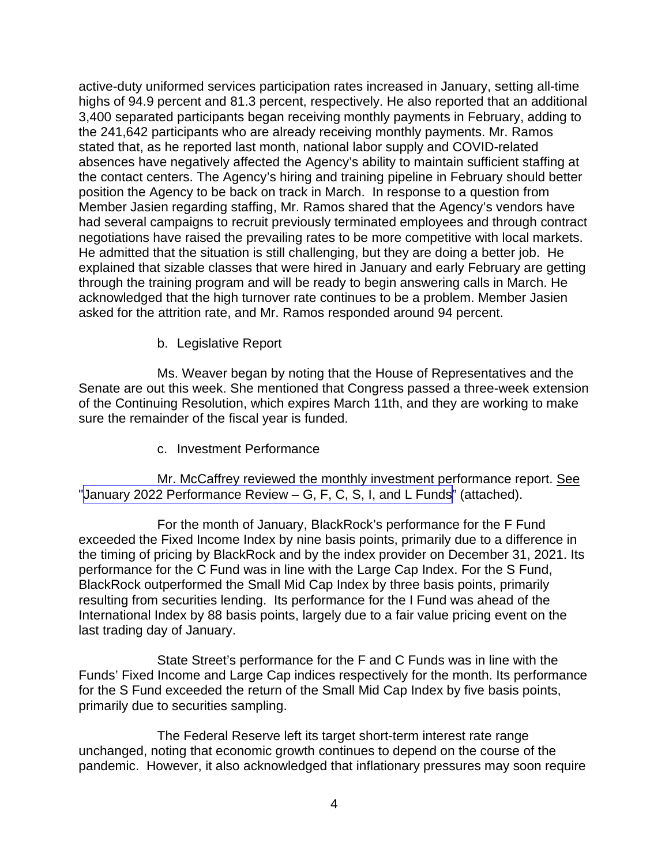active-duty uniformed services participation rates increased in January, setting all-time highs of 94.9 percent and 81.3 percent, respectively. He also reported that an additional 3,400 separated participants began receiving monthly payments in February, adding to the 241,642 participants who are already receiving monthly payments. Mr. Ramos stated that, as he reported last month, national labor supply and COVID-related absences have negatively affected the Agency's ability to maintain sufficient staffing at the contact centers. The Agency's hiring and training pipeline in February should better position the Agency to be back on track in March. In response to a question from Member Jasien regarding staffing, Mr. Ramos shared that the Agency's vendors have had several campaigns to recruit previously terminated employees and through contract negotiations have raised the prevailing rates to be more competitive with local markets. He admitted that the situation is still challenging, but they are doing a better job. He explained that sizable classes that were hired in January and early February are getting through the training program and will be ready to begin answering calls in March. He acknowledged that the high turnover rate continues to be a problem. Member Jasien asked for the attrition rate, and Mr. Ramos responded around 94 percent.

b. Legislative Report

Ms. Weaver began by noting that the House of Representatives and the Senate are out this week. She mentioned that Congress passed a three-week extension of the Continuing Resolution, which expires March 11th, and they are working to make sure the remainder of the fiscal year is funded.

c. Investment Performance

Mr. McCaffrey reviewed the monthly investment performance report. See "January [2022 Performance Review – G, F, C, S, I, and L Funds"](https://www.frtib.gov/pdf/minutes/2022/Feb/MM-2022Feb-Att3.pdf) (attached).

For the month of January, BlackRock's performance for the F Fund exceeded the Fixed Income Index by nine basis points, primarily due to a difference in the timing of pricing by BlackRock and by the index provider on December 31, 2021. Its performance for the C Fund was in line with the Large Cap Index. For the S Fund, BlackRock outperformed the Small Mid Cap Index by three basis points, primarily resulting from securities lending. Its performance for the I Fund was ahead of the International Index by 88 basis points, largely due to a fair value pricing event on the last trading day of January.

State Street's performance for the F and C Funds was in line with the Funds' Fixed Income and Large Cap indices respectively for the month. Its performance for the S Fund exceeded the return of the Small Mid Cap Index by five basis points, primarily due to securities sampling.

The Federal Reserve left its target short-term interest rate range unchanged, noting that economic growth continues to depend on the course of the pandemic. However, it also acknowledged that inflationary pressures may soon require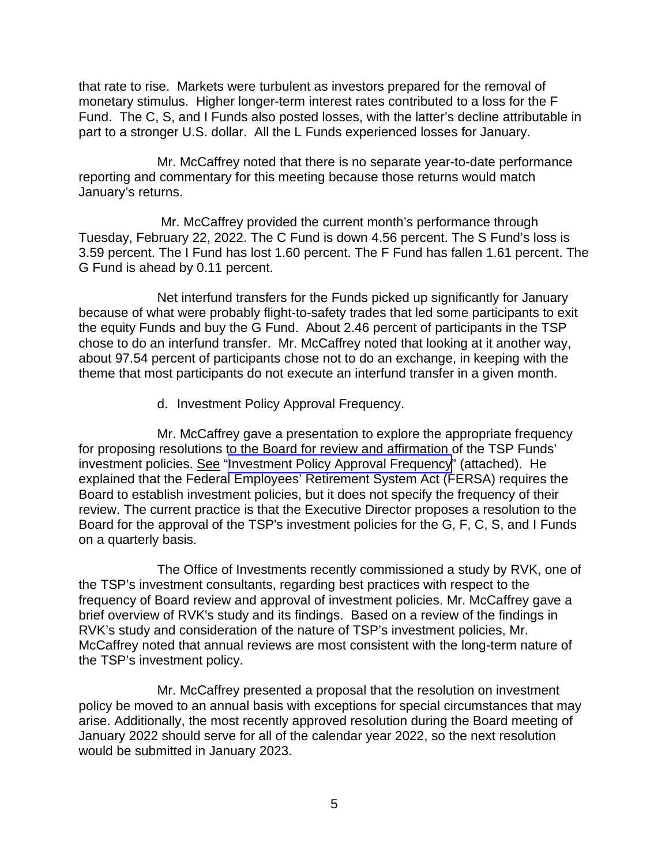that rate to rise. Markets were turbulent as investors prepared for the removal of monetary stimulus. Higher longer-term interest rates contributed to a loss for the F Fund. The C, S, and I Funds also posted losses, with the latter's decline attributable in part to a stronger U.S. dollar. All the L Funds experienced losses for January.

Mr. McCaffrey noted that there is no separate year-to-date performance reporting and commentary for this meeting because those returns would match January's returns.

Mr. McCaffrey provided the current month's performance through Tuesday, February 22, 2022. The C Fund is down 4.56 percent. The S Fund's loss is 3.59 percent. The I Fund has lost 1.60 percent. The F Fund has fallen 1.61 percent. The G Fund is ahead by 0.11 percent.

Net interfund transfers for the Funds picked up significantly for January because of what were probably flight-to-safety trades that led some participants to exit the equity Funds and buy the G Fund. About 2.46 percent of participants in the TSP chose to do an interfund transfer. Mr. McCaffrey noted that looking at it another way, about 97.54 percent of participants chose not to do an exchange, in keeping with the theme that most participants do not execute an interfund transfer in a given month.

d. Investment Policy Approval Frequency.

Mr. McCaffrey gave a presentation to explore the appropriate frequency for proposing resolutions to the Board for review and affirmation of the TSP Funds' investment policies. See "[Investment Policy Approval Frequency"](https://www.frtib.gov/pdf/minutes/2022/Feb/MM-2022Feb-Att4.pdf) (attached). He explained that the Federal Employees' Retirement System Act (FERSA) requires the Board to establish investment policies, but it does not specify the frequency of their review. The current practice is that the Executive Director proposes a resolution to the Board for the approval of the TSP's investment policies for the G, F, C, S, and I Funds on a quarterly basis.

The Office of Investments recently commissioned a study by RVK, one of the TSP's investment consultants, regarding best practices with respect to the frequency of Board review and approval of investment policies. Mr. McCaffrey gave a brief overview of RVK's study and its findings. Based on a review of the findings in RVK's study and consideration of the nature of TSP's investment policies, Mr. McCaffrey noted that annual reviews are most consistent with the long-term nature of the TSP's investment policy.

Mr. McCaffrey presented a proposal that the resolution on investment policy be moved to an annual basis with exceptions for special circumstances that may arise. Additionally, the most recently approved resolution during the Board meeting of January 2022 should serve for all of the calendar year 2022, so the next resolution would be submitted in January 2023.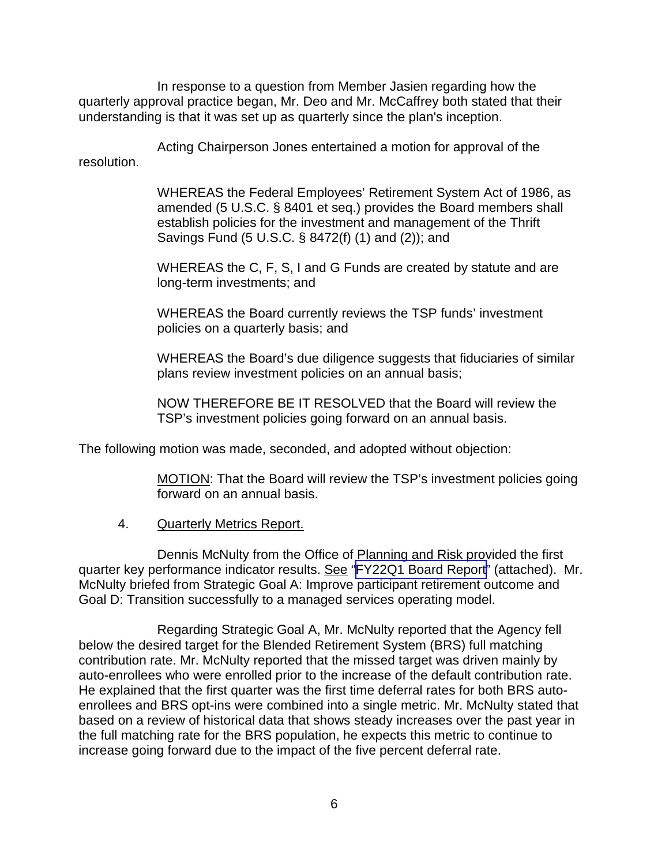In response to a question from Member Jasien regarding how the quarterly approval practice began, Mr. Deo and Mr. McCaffrey both stated that their understanding is that it was set up as quarterly since the plan's inception.

Acting Chairperson Jones entertained a motion for approval of the resolution.

> WHEREAS the Federal Employees' Retirement System Act of 1986, as amended (5 U.S.C. § 8401 et seq.) provides the Board members shall establish policies for the investment and management of the Thrift Savings Fund (5 U.S.C. § 8472(f) (1) and (2)); and

WHEREAS the C, F, S, I and G Funds are created by statute and are long-term investments; and

WHEREAS the Board currently reviews the TSP funds' investment policies on a quarterly basis; and

WHEREAS the Board's due diligence suggests that fiduciaries of similar plans review investment policies on an annual basis;

NOW THEREFORE BE IT RESOLVED that the Board will review the TSP's investment policies going forward on an annual basis.

The following motion was made, seconded, and adopted without objection:

MOTION: That the Board will review the TSP's investment policies going forward on an annual basis.

4. Quarterly Metrics Report.

Dennis McNulty from the Office of Planning and Risk provided the first quarter key performance indicator results. See "FY22Q1 [Board Report"](https://www.frtib.gov/pdf/minutes/2022/Feb/MM-2022Feb-Att5.pdf) (attached). Mr. McNulty briefed from Strategic Goal A: Improve participant retirement outcome and Goal D: Transition successfully to a managed services operating model.

Regarding Strategic Goal A, Mr. McNulty reported that the Agency fell below the desired target for the Blended Retirement System (BRS) full matching contribution rate. Mr. McNulty reported that the missed target was driven mainly by auto-enrollees who were enrolled prior to the increase of the default contribution rate. He explained that the first quarter was the first time deferral rates for both BRS autoenrollees and BRS opt-ins were combined into a single metric. Mr. McNulty stated that based on a review of historical data that shows steady increases over the past year in the full matching rate for the BRS population, he expects this metric to continue to increase going forward due to the impact of the five percent deferral rate.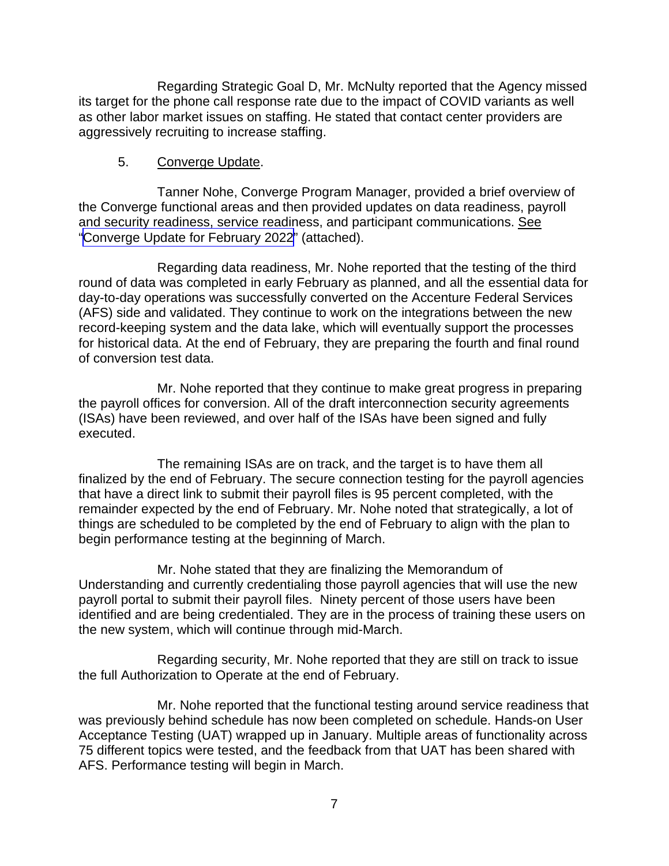Regarding Strategic Goal D, Mr. McNulty reported that the Agency missed its target for the phone call response rate due to the impact of COVID variants as well as other labor market issues on staffing. He stated that contact center providers are aggressively recruiting to increase staffing.

### 5. Converge Update.

Tanner Nohe, Converge Program Manager, provided a brief overview of the Converge functional areas and then provided updates on data readiness, payroll and security readiness, service readiness, and participant communications. See "[Converge Update for February 2022"](https://www.frtib.gov/pdf/minutes/2022/Feb/MM-2022Feb-Att6.pdf) (attached).

Regarding data readiness, Mr. Nohe reported that the testing of the third round of data was completed in early February as planned, and all the essential data for day-to-day operations was successfully converted on the Accenture Federal Services (AFS) side and validated. They continue to work on the integrations between the new record-keeping system and the data lake, which will eventually support the processes for historical data. At the end of February, they are preparing the fourth and final round of conversion test data.

Mr. Nohe reported that they continue to make great progress in preparing the payroll offices for conversion. All of the draft interconnection security agreements (ISAs) have been reviewed, and over half of the ISAs have been signed and fully executed.

The remaining ISAs are on track, and the target is to have them all finalized by the end of February. The secure connection testing for the payroll agencies that have a direct link to submit their payroll files is 95 percent completed, with the remainder expected by the end of February. Mr. Nohe noted that strategically, a lot of things are scheduled to be completed by the end of February to align with the plan to begin performance testing at the beginning of March.

Mr. Nohe stated that they are finalizing the Memorandum of Understanding and currently credentialing those payroll agencies that will use the new payroll portal to submit their payroll files. Ninety percent of those users have been identified and are being credentialed. They are in the process of training these users on the new system, which will continue through mid-March.

Regarding security, Mr. Nohe reported that they are still on track to issue the full Authorization to Operate at the end of February.

Mr. Nohe reported that the functional testing around service readiness that was previously behind schedule has now been completed on schedule. Hands-on User Acceptance Testing (UAT) wrapped up in January. Multiple areas of functionality across 75 different topics were tested, and the feedback from that UAT has been shared with AFS. Performance testing will begin in March.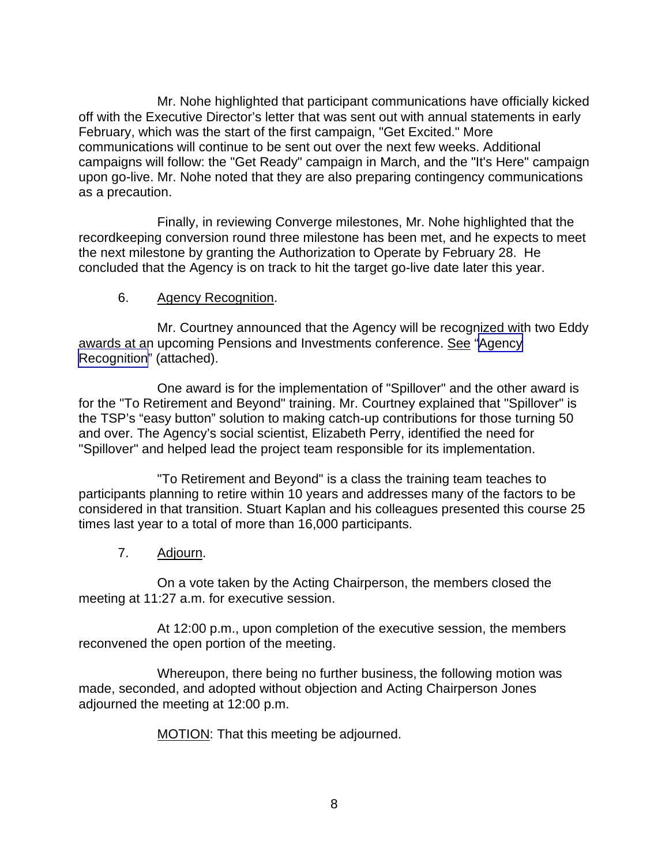Mr. Nohe highlighted that participant communications have officially kicked off with the Executive Director's letter that was sent out with annual statements in early February, which was the start of the first campaign, "Get Excited." More communications will continue to be sent out over the next few weeks. Additional campaigns will follow: the "Get Ready" campaign in March, and the "It's Here" campaign upon go-live. Mr. Nohe noted that they are also preparing contingency communications as a precaution.

Finally, in reviewing Converge milestones, Mr. Nohe highlighted that the recordkeeping conversion round three milestone has been met, and he expects to meet the next milestone by granting the Authorization to Operate by February 28. He concluded that the Agency is on track to hit the target go-live date later this year.

#### 6. Agency Recognition.

Mr. Courtney announced that the Agency will be recognized with two Eddy awards at an upcoming Pensions and Investments conference. See ["Agency](https://www.frtib.gov/pdf/minutes/2022/Feb/MM-2022Feb-Att7.pdf) [Recognition](https://www.frtib.gov/pdf/minutes/2022/Feb/MM-2022Feb-Att7.pdf)" (attached).

One award is for the implementation of "Spillover" and the other award is for the "To Retirement and Beyond" training. Mr. Courtney explained that "Spillover" is the TSP's "easy button" solution to making catch-up contributions for those turning 50 and over. The Agency's social scientist, Elizabeth Perry, identified the need for "Spillover" and helped lead the project team responsible for its implementation.

"To Retirement and Beyond" is a class the training team teaches to participants planning to retire within 10 years and addresses many of the factors to be considered in that transition. Stuart Kaplan and his colleagues presented this course 25 times last year to a total of more than 16,000 participants.

7. Adjourn.

On a vote taken by the Acting Chairperson, the members closed the meeting at 11:27 a.m. for executive session.

At 12:00 p.m., upon completion of the executive session, the members reconvened the open portion of the meeting.

Whereupon, there being no further business, the following motion was made, seconded, and adopted without objection and Acting Chairperson Jones adjourned the meeting at 12:00 p.m.

MOTION: That this meeting be adjourned.